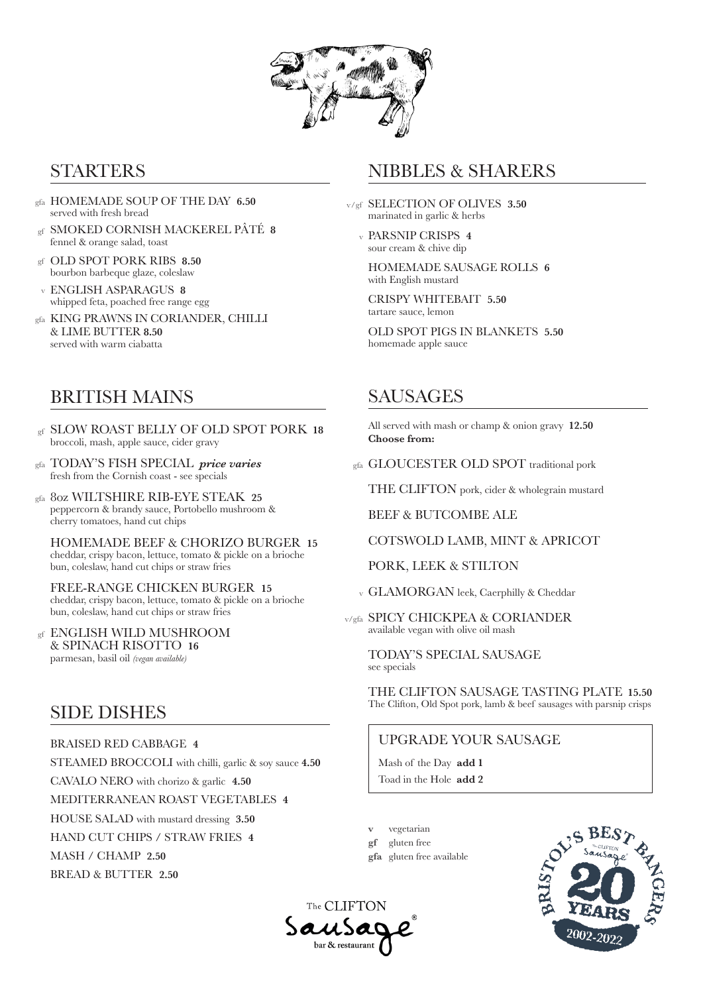

## STARTERS

- HOMEMADE SOUP OF THE DAY **6.50** gfa served with fresh bread
- SMOKED CORNISH MACKEREL PÂTÉ **8** gf fennel & orange salad, toast
- OLD SPOT PORK RIBS **8.50** gf bourbon barbeque glaze, coleslaw
- ENGLISH ASPARAGUS **8** whipped feta, poached free range egg v
- gfa KING PRAWNS IN CORIANDER, CHILLI & LIME BUTTER **8.50** served with warm ciabatta

## BRITISH MAINS

- SLOW ROAST BELLY OF OLD SPOT PORK **18** gf broccoli, mash, apple sauce, cider gravy
- TODAY'S FISH SPECIAL *price varies*  gfa fresh from the Cornish coast - see specials
- 8oz WILTSHIRE RIB-EYE STEAK **25** gfa peppercorn & brandy sauce, Portobello mushroom & cherry tomatoes, hand cut chips

HOMEMADE BEEF & CHORIZO BURGER **15** cheddar, crispy bacon, lettuce, tomato & pickle on a brioche bun, coleslaw, hand cut chips or straw fries

FREE-RANGE CHICKEN BURGER **15** cheddar, crispy bacon, lettuce, tomato & pickle on a brioche bun, coleslaw, hand cut chips or straw fries

gf ENGLISH WILD MUSHROOM & SPINACH RISOTTO **16** parmesan, basil oil *(vegan available)*

## SIDE DISHES

BRAISED RED CABBAGE **4** 

STEAMED BROCCOLI with chilli, garlic & soy sauce **4.50**

CAVALO NERO with chorizo & garlic **4.50**

MEDITERRANEAN ROAST VEGETABLES **4**

HOUSE SALAD with mustard dressing **3.50**

HAND CUT CHIPS / STRAW FRIES **4**

MASH / CHAMP **2.50**

BREAD & BUTTER **2.50**

# NIBBLES & SHARERS

- v/gf SELECTION OF OLIVES 3.50 marinated in garlic & herbs
	- PARSNIP CRISPS **4** v sour cream & chive dip

HOMEMADE SAUSAGE ROLLS **6** with English mustard

CRISPY WHITEBAIT **5.50** tartare sauce, lemon

OLD SPOT PIGS IN BLANKETS **5.50** homemade apple sauce

# SAUSAGES

All served with mash or champ & onion gravy **12.50 Choose from:**

gfa GLOUCESTER OLD SPOT traditional pork

THE CLIFTON pork, cider & wholegrain mustard

BEEF & BUTCOMBE ALE

COTSWOLD LAMB, MINT & APRICOT

PORK, LEEK & STILTON

v GLAMORGAN leek, Caerphilly & Cheddar

v/gfa SPICY CHICKPEA & CORIANDER available vegan with olive oil mash

TODAY'S SPECIAL SAUSAGE see specials

THE CLIFTON SAUSAGE TASTING PLATE **15.50** The Clifton, Old Spot pork, lamb & beef sausages with parsnip crisps

### UPGRADE YOUR SAUSAGE

Mash of the Day **add 1** Toad in the Hole **add 2**

vegetarian

gluten free **gf**

**v**

gluten free available **gfa**